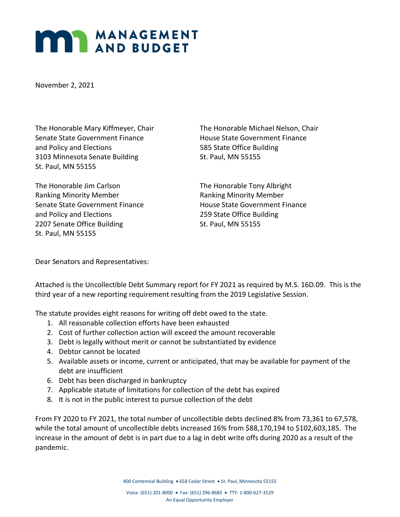## **MANAGEMENT**

November 2, 2021

Senate State Government Finance The House State Government Finance and Policy and Elections 6. The State Office Building 3103 Minnesota Senate Building St. Paul, MN 55155 St. Paul, MN 55155

The Honorable Jim Carlson The Honorable Tony Albright Ranking Minority Member Ranking Minority Member Senate State Government Finance The House State Government Finance and Policy and Elections 259 State Office Building 2207 Senate Office Building St. Paul, MN 55155 St. Paul, MN 55155

The Honorable Mary Kiffmeyer, Chair The Honorable Michael Nelson, Chair

Dear Senators and Representatives:

Attached is the Uncollectible Debt Summary report for FY 2021 as required by M.S. 16D.09. This is the third year of a new reporting requirement resulting from the 2019 Legislative Session.

The statute provides eight reasons for writing off debt owed to the state.

- 1. All reasonable collection efforts have been exhausted
- 2. Cost of further collection action will exceed the amount recoverable
- 3. Debt is legally without merit or cannot be substantiated by evidence
- 4. Debtor cannot be located
- 5. Available assets or income, current or anticipated, that may be available for payment of the debt are insufficient
- 6. Debt has been discharged in bankruptcy
- 7. Applicable statute of limitations for collection of the debt has expired
- 8. It is not in the public interest to pursue collection of the debt

From FY 2020 to FY 2021, the total number of uncollectible debts declined 8% from 73,361 to 67,578, while the total amount of uncollectible debts increased 16% from \$88,170,194 to \$102,603,185. The increase in the amount of debt is in part due to a lag in debt write offs during 2020 as a result of the pandemic.

400 Centennial Building • 658 Cedar Street • St. Paul, Minnesota 55155